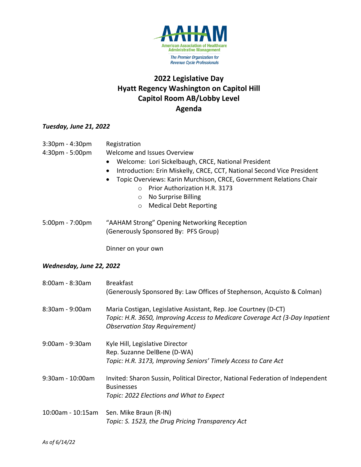

# **2022 Legislative Day Hyatt Regency Washington on Capitol Hill Capitol Room AB/Lobby Level Agenda**

## *Tuesday, June 21, 2022*

| 3:30pm - 4:30pm<br>4:30pm - 5:00pm | Registration<br>Welcome and Issues Overview<br>Welcome: Lori Sickelbaugh, CRCE, National President<br>$\bullet$<br>Introduction: Erin Miskelly, CRCE, CCT, National Second Vice President<br>$\bullet$<br>Topic Overviews: Karin Murchison, CRCE, Government Relations Chair<br>$\bullet$<br>o Prior Authorization H.R. 3173<br>No Surprise Billing<br>$\circ$<br><b>Medical Debt Reporting</b><br>$\circ$ |
|------------------------------------|------------------------------------------------------------------------------------------------------------------------------------------------------------------------------------------------------------------------------------------------------------------------------------------------------------------------------------------------------------------------------------------------------------|
| 5:00pm - 7:00pm                    | "AAHAM Strong" Opening Networking Reception<br>(Generously Sponsored By: PFS Group)                                                                                                                                                                                                                                                                                                                        |
|                                    | Dinner on your own                                                                                                                                                                                                                                                                                                                                                                                         |
| Wednesday, June 22, 2022           |                                                                                                                                                                                                                                                                                                                                                                                                            |
| 8:00am - 8:30am                    | <b>Breakfast</b><br>(Generously Sponsored By: Law Offices of Stephenson, Acquisto & Colman)                                                                                                                                                                                                                                                                                                                |
| 8:30am - 9:00am                    | Maria Costigan, Legislative Assistant, Rep. Joe Courtney (D-CT)<br>Topic: H.R. 3650, Improving Access to Medicare Coverage Act (3-Day Inpatient<br><b>Observation Stay Requirement)</b>                                                                                                                                                                                                                    |
| 9:00am - 9:30am                    | Kyle Hill, Legislative Director<br>Rep. Suzanne DelBene (D-WA)<br>Topic: H.R. 3173, Improving Seniors' Timely Access to Care Act                                                                                                                                                                                                                                                                           |
| 9:30am - 10:00am                   | Invited: Sharon Sussin, Political Director, National Federation of Independent<br><b>Businesses</b><br>Topic: 2022 Elections and What to Expect                                                                                                                                                                                                                                                            |
| 10:00am - 10:15am                  | Sen. Mike Braun (R-IN)<br>Topic: S. 1523, the Drug Pricing Transparency Act                                                                                                                                                                                                                                                                                                                                |